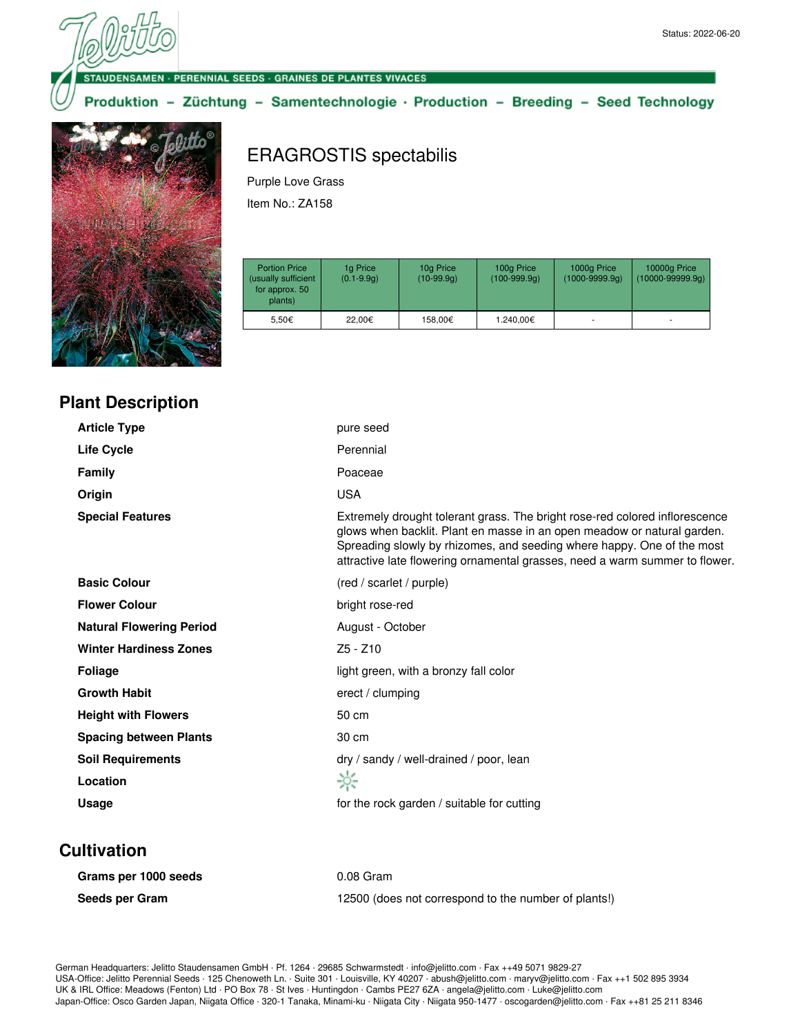#### **DENSAMEN · PERENNIAL SEEDS · GRAINES DE PLANTES VIVACES**

### Produktion - Züchtung - Samentechnologie · Production - Breeding - Seed Technology



# ERAGROSTIS spectabilis

Purple Love Grass

Item No.: ZA158

| <b>Portion Price</b><br>(usually sufficient<br>for approx. 50<br>plants) | 1g Price<br>$(0.1 - 9.9q)$ | 10g Price<br>$(10-99.9q)$ | 100g Price<br>$(100-999.9q)$ | 1000g Price<br>$(1000 - 9999.9q)$ | 10000g Price<br>$(10000 - 99999.9q)$ |
|--------------------------------------------------------------------------|----------------------------|---------------------------|------------------------------|-----------------------------------|--------------------------------------|
| 5.50€                                                                    | 22.00€                     | 158.00€                   | 1.240.00€                    |                                   |                                      |

| <b>Plant Description</b> |  |
|--------------------------|--|
|                          |  |

| <b>Article Type</b>             | pure seed                                                                                                                                                                                                                                                                                                       |
|---------------------------------|-----------------------------------------------------------------------------------------------------------------------------------------------------------------------------------------------------------------------------------------------------------------------------------------------------------------|
| <b>Life Cycle</b>               | Perennial                                                                                                                                                                                                                                                                                                       |
| <b>Family</b>                   | Poaceae                                                                                                                                                                                                                                                                                                         |
| Origin                          | <b>USA</b>                                                                                                                                                                                                                                                                                                      |
| <b>Special Features</b>         | Extremely drought tolerant grass. The bright rose-red colored inflorescence<br>glows when backlit. Plant en masse in an open meadow or natural garden.<br>Spreading slowly by rhizomes, and seeding where happy. One of the most<br>attractive late flowering ornamental grasses, need a warm summer to flower. |
| <b>Basic Colour</b>             | (red / scarlet / purple)                                                                                                                                                                                                                                                                                        |
| <b>Flower Colour</b>            | bright rose-red                                                                                                                                                                                                                                                                                                 |
| <b>Natural Flowering Period</b> | August - October                                                                                                                                                                                                                                                                                                |
| <b>Winter Hardiness Zones</b>   | $Z5 - Z10$                                                                                                                                                                                                                                                                                                      |
| <b>Foliage</b>                  | light green, with a bronzy fall color                                                                                                                                                                                                                                                                           |
| <b>Growth Habit</b>             | erect / clumping                                                                                                                                                                                                                                                                                                |
| <b>Height with Flowers</b>      | 50 cm                                                                                                                                                                                                                                                                                                           |
| <b>Spacing between Plants</b>   | 30 cm                                                                                                                                                                                                                                                                                                           |
| <b>Soil Requirements</b>        | dry / sandy / well-drained / poor, lean                                                                                                                                                                                                                                                                         |
| Location                        | ☆                                                                                                                                                                                                                                                                                                               |
| <b>Usage</b>                    | for the rock garden / suitable for cutting                                                                                                                                                                                                                                                                      |

### **Cultivation**

| Grams per 1000 seeds | $0.08$ Gram                                          |
|----------------------|------------------------------------------------------|
| Seeds per Gram       | 12500 (does not correspond to the number of plants!) |